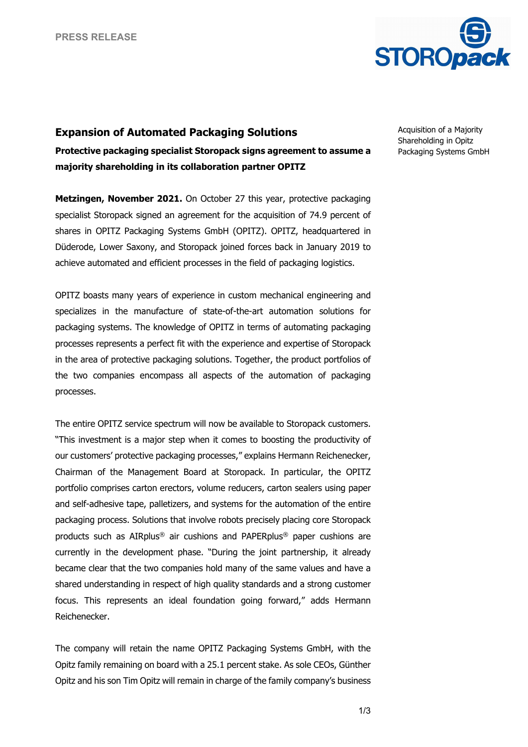

## **Expansion of Automated Packaging Solutions Protective packaging specialist Storopack signs agreement to assume a majority shareholding in its collaboration partner OPITZ**

**Metzingen, November 2021.** On October 27 this year, protective packaging specialist Storopack signed an agreement for the acquisition of 74.9 percent of shares in OPITZ Packaging Systems GmbH (OPITZ). OPITZ, headquartered in Düderode, Lower Saxony, and Storopack joined forces back in January 2019 to achieve automated and efficient processes in the field of packaging logistics.

OPITZ boasts many years of experience in custom mechanical engineering and specializes in the manufacture of state-of-the-art automation solutions for packaging systems. The knowledge of OPITZ in terms of automating packaging processes represents a perfect fit with the experience and expertise of Storopack in the area of protective packaging solutions. Together, the product portfolios of the two companies encompass all aspects of the automation of packaging processes.

The entire OPITZ service spectrum will now be available to Storopack customers. "This investment is a major step when it comes to boosting the productivity of our customers' protective packaging processes," explains Hermann Reichenecker, Chairman of the Management Board at Storopack. In particular, the OPITZ portfolio comprises carton erectors, volume reducers, carton sealers using paper and self-adhesive tape, palletizers, and systems for the automation of the entire packaging process. Solutions that involve robots precisely placing core Storopack products such as AIRplus® air cushions and PAPERplus® paper cushions are currently in the development phase. "During the joint partnership, it already became clear that the two companies hold many of the same values and have a shared understanding in respect of high quality standards and a strong customer focus. This represents an ideal foundation going forward," adds Hermann Reichenecker.

The company will retain the name OPITZ Packaging Systems GmbH, with the Opitz family remaining on board with a 25.1 percent stake. As sole CEOs, Günther Opitz and his son Tim Opitz will remain in charge of the family company's business Acquisition of a Majority Shareholding in Opitz Packaging Systems GmbH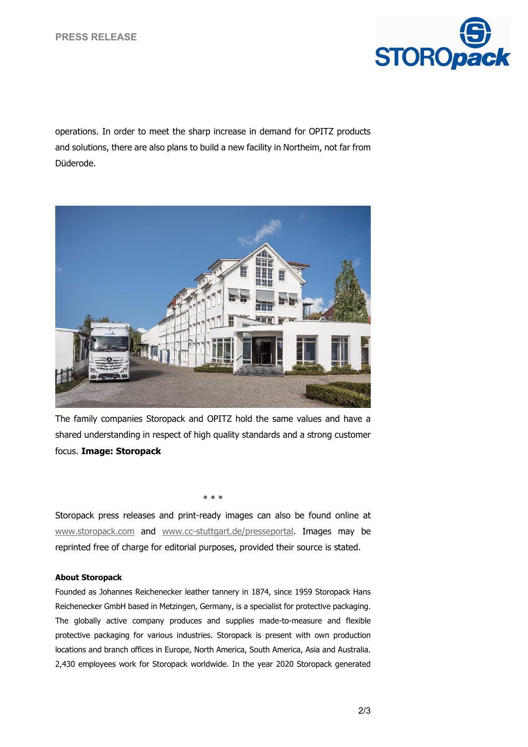

operations. In order to meet the sharp increase in demand for OPITZ products and solutions, there are also plans to build a new facility in Northeim, not far from Düderode.



The family companies Storopack and OPITZ hold the same values and have a shared understanding in respect of high quality standards and a strong customer focus. **Image: Storopack**

Storopack press releases and print-ready images can also be found online at [www.storopack.com](http://www.storopack.com/) and [www.cc-stuttgart.de/presseportal.](http://www.cc-stuttgart.de/presseportal) Images may be reprinted free of charge for editorial purposes, provided their source is stated.

\* \* \*

## **About Storopack**

Founded as Johannes Reichenecker leather tannery in 1874, since 1959 Storopack Hans Reichenecker GmbH based in Metzingen, Germany, is a specialist for protective packaging. The globally active company produces and supplies made-to-measure and flexible protective packaging for various industries. Storopack is present with own production locations and branch offices in Europe, North America, South America, Asia and Australia. 2,430 employees work for Storopack worldwide. In the year 2020 Storopack generated